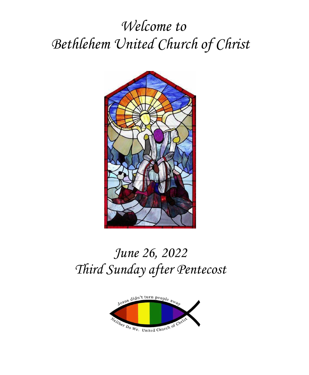# *Welcome to Bethlehem United Church of Christ*



# *June 26, 2022 Third Sunday after Pentecost*

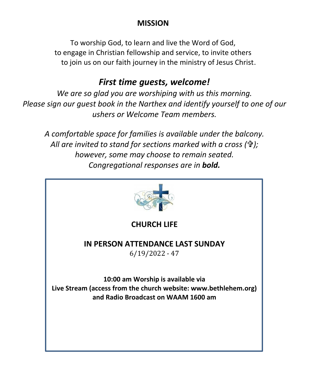## **MISSION**

To worship God, to learn and live the Word of God, to engage in Christian fellowship and service, to invite others to join us on our faith journey in the ministry of Jesus Christ.

## *First time guests, welcome!*

*We are so glad you are worshiping with us this morning. Please sign our guest book in the Narthex and identify yourself to one of our ushers or Welcome Team members.*

*A comfortable space for families is available under the balcony. All are invited to stand for sections marked with a cross (); however, some may choose to remain seated. Congregational responses are in bold.*

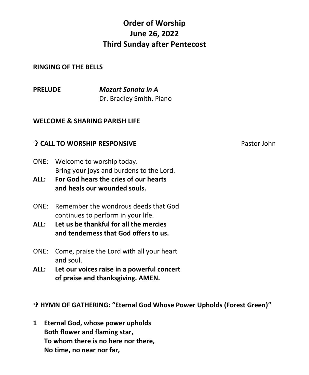# **Order of Worship June 26, 2022 Third Sunday after Pentecost**

#### **RINGING OF THE BELLS**

**PRELUDE** *Mozart Sonata in A* Dr. Bradley Smith, Piano

#### **WELCOME & SHARING PARISH LIFE**

#### **个 CALL TO WORSHIP RESPONSIVE Pastor Iohn Pastor John**

- ONE: Welcome to worship today. Bring your joys and burdens to the Lord.
- **ALL: For God hears the cries of our hearts and heals our wounded souls.**
- ONE: Remember the wondrous deeds that God continues to perform in your life.
- **ALL: Let us be thankful for all the mercies and tenderness that God offers to us.**
- ONE: Come, praise the Lord with all your heart and soul.
- **ALL: Let our voices raise in a powerful concert of praise and thanksgiving. AMEN.**

**HYMN OF GATHERING: "Eternal God Whose Power Upholds (Forest Green)"**

**1 Eternal God, whose power upholds Both flower and flaming star, To whom there is no here nor there, No time, no near nor far,**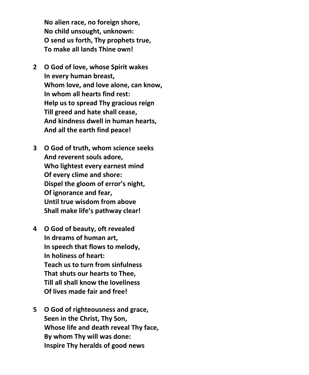**No alien race, no foreign shore, No child unsought, unknown: O send us forth, Thy prophets true, To make all lands Thine own!**

- **2 O God of love, whose Spirit wakes In every human breast, Whom love, and love alone, can know, In whom all hearts find rest: Help us to spread Thy gracious reign Till greed and hate shall cease, And kindness dwell in human hearts, And all the earth find peace!**
- **3 O God of truth, whom science seeks And reverent souls adore, Who lightest every earnest mind Of every clime and shore: Dispel the gloom of error's night, Of ignorance and fear, Until true wisdom from above Shall make life's pathway clear!**
- **4 O God of beauty, oft revealed In dreams of human art, In speech that flows to melody, In holiness of heart: Teach us to turn from sinfulness That shuts our hearts to Thee, Till all shall know the loveliness Of lives made fair and free!**
- **5 O God of righteousness and grace, Seen in the Christ, Thy Son, Whose life and death reveal Thy face, By whom Thy will was done: Inspire Thy heralds of good news**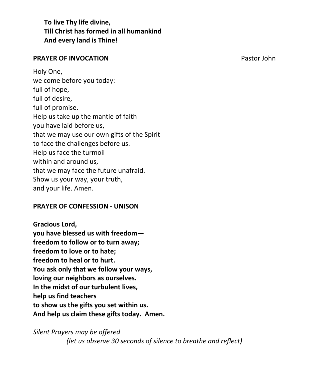**To live Thy life divine, Till Christ has formed in all humankind And every land is Thine!**

#### **PRAYER OF INVOCATION PRAYER OF INVOCATION**

Holy One, we come before you today: full of hope, full of desire, full of promise. Help us take up the mantle of faith you have laid before us, that we may use our own gifts of the Spirit to face the challenges before us. Help us face the turmoil within and around us, that we may face the future unafraid. Show us your way, your truth, and your life. Amen.

#### **PRAYER OF CONFESSION - UNISON**

**Gracious Lord, you have blessed us with freedom freedom to follow or to turn away; freedom to love or to hate; freedom to heal or to hurt. You ask only that we follow your ways, loving our neighbors as ourselves. In the midst of our turbulent lives, help us find teachers to show us the gifts you set within us. And help us claim these gifts today. Amen.**

*Silent Prayers may be offered (let us observe 30 seconds of silence to breathe and reflect)*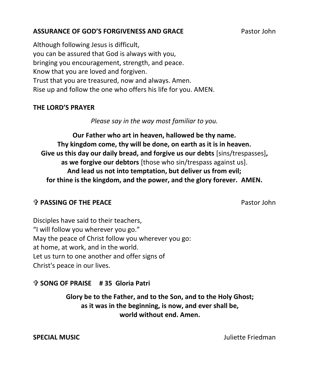#### **ASSURANCE OF GOD'S FORGIVENESS AND GRACE** Pastor John

### Although following Jesus is difficult, you can be assured that God is always with you, bringing you encouragement, strength, and peace. Know that you are loved and forgiven. Trust that you are treasured, now and always. Amen. Rise up and follow the one who offers his life for you. AMEN.

#### **THE LORD'S PRAYER**

*Please say in the way most familiar to you.*

**Our Father who art in heaven, hallowed be thy name. Thy kingdom come, thy will be done, on earth as it is in heaven. Give us this day our daily bread, and forgive us our debts** [sins/trespasses]**, as we forgive our debtors** [those who sin/trespass against us]. **And lead us not into temptation, but deliver us from evil; for thine is the kingdom, and the power, and the glory forever. AMEN.**

#### **The PASSING OF THE PEACE** Pastor John

Disciples have said to their teachers, "I will follow you wherever you go." May the peace of Christ follow you wherever you go: at home, at work, and in the world. Let us turn to one another and offer signs of Christ's peace in our lives.

### **SONG OF PRAISE # 35 Gloria Patri**

**Glory be to the Father, and to the Son, and to the Holy Ghost; as it was in the beginning, is now, and ever shall be, world without end. Amen.** 

**SPECIAL MUSIC Juliette Friedman**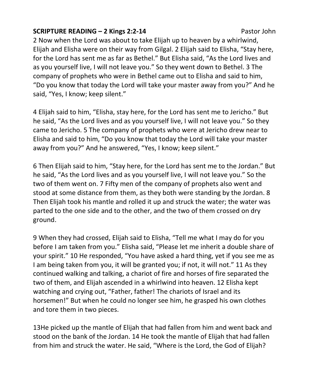#### **SCRIPTURE READING – 2 Kings 2:2-14** Pastor John

2 Now when the Lord was about to take Elijah up to heaven by a whirlwind, Elijah and Elisha were on their way from Gilgal. 2 Elijah said to Elisha, "Stay here, for the Lord has sent me as far as Bethel." But Elisha said, "As the Lord lives and as you yourself live, I will not leave you." So they went down to Bethel. 3 The company of prophets who were in Bethel came out to Elisha and said to him, "Do you know that today the Lord will take your master away from you?" And he said, "Yes, I know; keep silent."

4 Elijah said to him, "Elisha, stay here, for the Lord has sent me to Jericho." But he said, "As the Lord lives and as you yourself live, I will not leave you." So they came to Jericho. 5 The company of prophets who were at Jericho drew near to Elisha and said to him, "Do you know that today the Lord will take your master away from you?" And he answered, "Yes, I know; keep silent."

6 Then Elijah said to him, "Stay here, for the Lord has sent me to the Jordan." But he said, "As the Lord lives and as you yourself live, I will not leave you." So the two of them went on. 7 Fifty men of the company of prophets also went and stood at some distance from them, as they both were standing by the Jordan. 8 Then Elijah took his mantle and rolled it up and struck the water; the water was parted to the one side and to the other, and the two of them crossed on dry ground.

9 When they had crossed, Elijah said to Elisha, "Tell me what I may do for you before I am taken from you." Elisha said, "Please let me inherit a double share of your spirit." 10 He responded, "You have asked a hard thing, yet if you see me as I am being taken from you, it will be granted you; if not, it will not." 11 As they continued walking and talking, a chariot of fire and horses of fire separated the two of them, and Elijah ascended in a whirlwind into heaven. 12 Elisha kept watching and crying out, "Father, father! The chariots of Israel and its horsemen!" But when he could no longer see him, he grasped his own clothes and tore them in two pieces.

13He picked up the mantle of Elijah that had fallen from him and went back and stood on the bank of the Jordan. 14 He took the mantle of Elijah that had fallen from him and struck the water. He said, "Where is the Lord, the God of Elijah?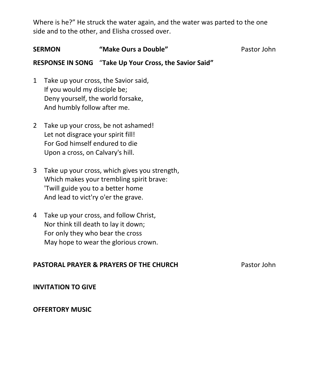Where is he?" He struck the water again, and the water was parted to the one side and to the other, and Elisha crossed over.

| <b>SERMON</b>  |                                                                                                                                          | "Make Ours a Double"                                                                      | Pastor John |
|----------------|------------------------------------------------------------------------------------------------------------------------------------------|-------------------------------------------------------------------------------------------|-------------|
|                |                                                                                                                                          | <b>RESPONSE IN SONG</b> "Take Up Your Cross, the Savior Said"                             |             |
| 1              | Take up your cross, the Savior said,<br>If you would my disciple be;<br>Deny yourself, the world forsake,<br>And humbly follow after me. |                                                                                           |             |
| $\overline{2}$ | Let not disgrace your spirit fill!<br>For God himself endured to die<br>Upon a cross, on Calvary's hill.                                 | Take up your cross, be not ashamed!                                                       |             |
| 3              | 'Twill guide you to a better home<br>And lead to vict'ry o'er the grave.                                                                 | Take up your cross, which gives you strength,<br>Which makes your trembling spirit brave: |             |

4 Take up your cross, and follow Christ, Nor think till death to lay it down; For only they who bear the cross May hope to wear the glorious crown.

#### **PASTORAL PRAYER & PRAYERS OF THE CHURCH PASTORAL PRAYERS OF THE CHURCH**

**INVITATION TO GIVE**

#### **OFFERTORY MUSIC**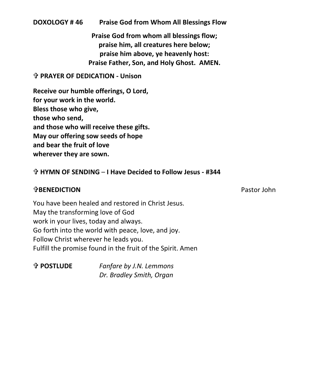#### **DOXOLOGY # 46 Praise God from Whom All Blessings Flow**

**Praise God from whom all blessings flow; praise him, all creatures here below; praise him above, ye heavenly host: Praise Father, Son, and Holy Ghost. AMEN.**

#### **PRAYER OF DEDICATION - Unison**

**Receive our humble offerings, O Lord, for your work in the world. Bless those who give, those who send, and those who will receive these gifts. May our offering sow seeds of hope and bear the fruit of love wherever they are sown.**

#### **HYMN OF SENDING** – **I Have Decided to Follow Jesus - #344**

#### **BENEDICTION** Pastor John

You have been healed and restored in Christ Jesus. May the transforming love of God work in your lives, today and always. Go forth into the world with peace, love, and joy. Follow Christ wherever he leads you. Fulfill the promise found in the fruit of the Spirit. Amen

 **POSTLUDE** *Fanfare by J.N. Lemmons Dr. Bradley Smith, Organ*